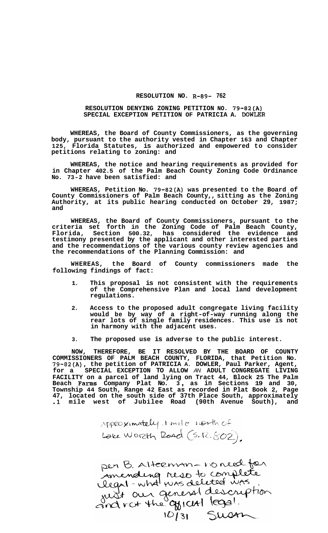## **RESOLUTION NO. R-89- 762**

## **RESOLUTION DENYING ZONING PETITION NO. 79-82(A) SPECIAL EXCEPTION PETITION OF PATRICIA A. DOWLER**

**WHEREAS, the Board of County Commissioners, as the governing body, pursuant to the authority vested in Chapter 163 and Chapter 125, Florida Statutes, is authorized and empowered to consider petitions relating to zoning: and** 

**WHEREAS, the notice and hearing requirements as provided for in Chapter 402.5 of the Palm Beach County Zoning Code Ordinance No. 73-2 have been satisfied: and** 

**WHEREAS, Petition No. 79-82(A) was presented to the Board of County Commissioners of Palm Beach County,, sitting as the Zoning Authority, at its public hearing conducted on October 29, 1987; and** 

**WHEREAS, the Board of County Commissioners, pursuant to the criteria set forth in the Zoning Code of Palm Beach County, Florida, Section 500.32, has considered the evidence and testimony presented by the applicant and other interested parties and the recommendations of the various county review agencies and the recommendations of the Planning Commission: and** 

**WHEREAS, the Board of County commissioners made the following findings of fact:** 

- **1. This proposal is not consistent with the requirements of the Comprehensive Plan and local land development regulations.**
- **2. Access to the proposed adult congregate living facility would be by way of a right-of-way running along the rear lots of single family residences. This use is not in harmony with the adjacent uses.**
- **3. The proposed use is adverse to the public interest.**

**NOW, THEREFORE, BE IT RESOLVED BY THE BOARD OF COUNTY COMMISSIONERS OF PALM BEACH COUNTY, FLORIDA, that Petition No. 79-82(A), the petition of PATRICIA A. DOWLER, Paul Parker, Agent, for a SPECIAL EXCEPTION TO ALLOW** *AN* **ADULT CONGREGATE LIVING FACILITY on a parcel of land lying on Tract 44, Block 25 The Palm Beach Farms Company Plat No. 3** , **as in Sections 19 and 30, Township 44 South, Range 42 East as recorded in Plat Book 2, Page 47, located on the south side of 37th Place South, approximately .1 mile west of Jubilee Road (90th Avenue South), and** 

Appeoximately 1 mile north of Lake Worzth Road (S. R. 802).

per B. Alternan-no need for<br>Amending riso to complete<br>legal-what was deleted was<br>and not the gyrcial legal.<br>10/31 Susan